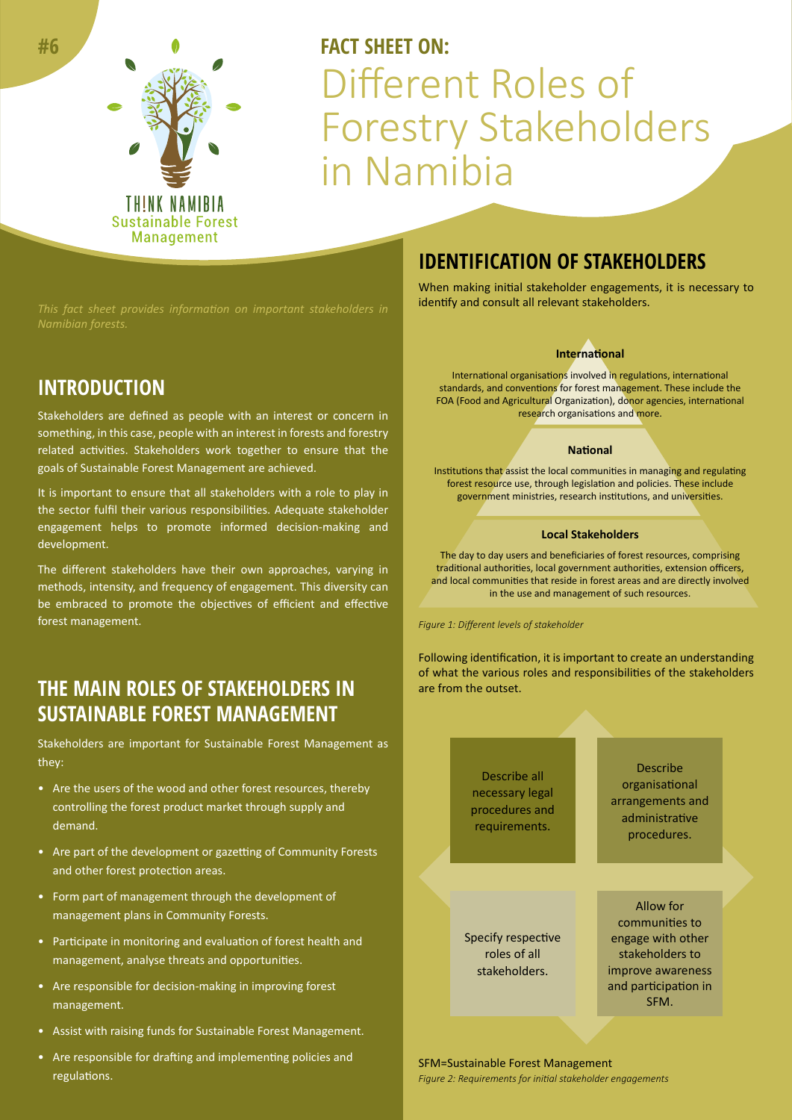

# **FACT SHEFT ON:** Different Roles of Forestry Stakeholders in Namibia

### **INTRODUCTION**

**#6**

Stakeholders are defined as people with an interest or concern in something, in this case, people with an interest in forests and forestry related activities. Stakeholders work together to ensure that the goals of Sustainable Forest Management are achieved.

It is important to ensure that all stakeholders with a role to play in the sector fulfil their various responsibilities. Adequate stakeholder engagement helps to promote informed decision-making and development.

The different stakeholders have their own approaches, varying in methods, intensity, and frequency of engagement. This diversity can be embraced to promote the objectives of efficient and effective forest management.

### **THE MAIN ROLES OF STAKEHOLDERS IN SUSTAINABLE FOREST MANAGEMENT**

Stakeholders are important for Sustainable Forest Management as they:

- Are the users of the wood and other forest resources, thereby controlling the forest product market through supply and demand.
- Are part of the development or gazetting of Community Forests and other forest protection areas.
- Form part of management through the development of management plans in Community Forests.
- Participate in monitoring and evaluation of forest health and management, analyse threats and opportunities.
- Are responsible for decision-making in improving forest management.
- Assist with raising funds for Sustainable Forest Management.
- Are responsible for drafting and implementing policies and regulations.

#### **IDENTIFICATION OF STAKEHOLDERS**

When making initial stakeholder engagements, it is necessary to identify and consult all relevant stakeholders.

#### **International**

International organisations involved in regulations, international standards, and conventions for forest management. These include the FOA (Food and Agricultural Organization), donor agencies, international research organisations and more.

#### **National**

Institutions that assist the local communities in managing and regulating forest resource use, through legislation and policies. These include government ministries, research institutions, and universities.

#### **Local Stakeholders**

The day to day users and beneficiaries of forest resources, comprising traditional authorities, local government authorities, extension officers, and local communities that reside in forest areas and are directly involved in the use and management of such resources.

*Figure 1: Different levels of stakeholder*

Following identification, it is important to create an understanding of what the various roles and responsibilities of the stakeholders are from the outset.



*Figure 2: Requirements for initial stakeholder engagements* SFM=Sustainable Forest Management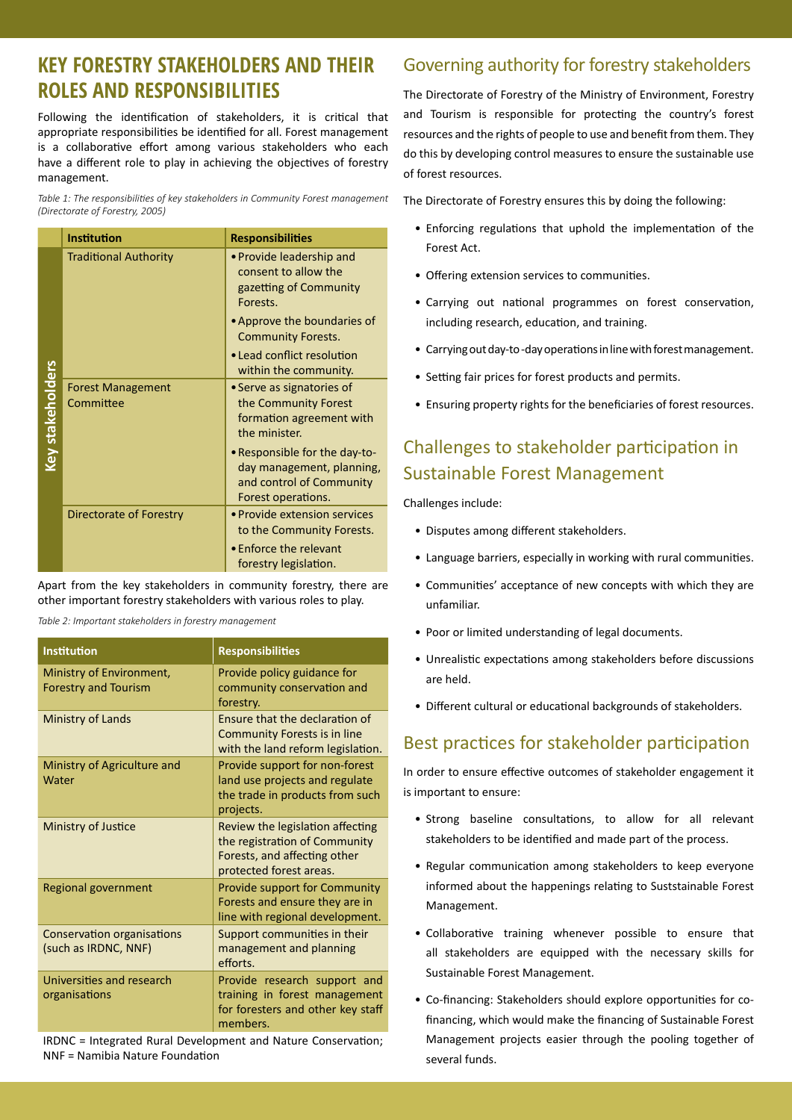### **KEY FORESTRY STAKEHOLDERS AND THEIR ROLES AND RESPONSIBILITIES**

Following the identification of stakeholders, it is critical that appropriate responsibilities be identified for all. Forest management is a collaborative effort among various stakeholders who each have a different role to play in achieving the objectives of forestry management.

*Table 1: The responsibilities of key stakeholders in Community Forest management (Directorate of Forestry, 2005)*

|                         | <b>Institution</b>                    | <b>Responsibilities</b>                                                                                      |
|-------------------------|---------------------------------------|--------------------------------------------------------------------------------------------------------------|
| <b>Key stakeholders</b> | <b>Traditional Authority</b>          | • Provide leadership and<br>consent to allow the<br>gazetting of Community<br>Forests.                       |
|                         |                                       | • Approve the boundaries of<br><b>Community Forests.</b>                                                     |
|                         |                                       | • Lead conflict resolution<br>within the community.                                                          |
|                         | <b>Forest Management</b><br>Committee | • Serve as signatories of<br>the Community Forest<br>formation agreement with<br>the minister.               |
|                         |                                       | • Responsible for the day-to-<br>day management, planning,<br>and control of Community<br>Forest operations. |
|                         | Directorate of Forestry               | • Provide extension services<br>to the Community Forests.                                                    |
|                         |                                       | • Enforce the relevant<br>forestry legislation.                                                              |

|                                      |                                                        | within the community.                                             |
|--------------------------------------|--------------------------------------------------------|-------------------------------------------------------------------|
| Key stakeholders                     | <b>Forest Management</b>                               | • Serve as signatories of                                         |
|                                      | Committee                                              | the Community Forest                                              |
|                                      |                                                        | formation agreement with                                          |
|                                      |                                                        | the minister.                                                     |
|                                      |                                                        | • Responsible for the day-to-                                     |
|                                      |                                                        | day management, planning,                                         |
|                                      |                                                        | and control of Community                                          |
|                                      |                                                        | Forest operations.                                                |
|                                      | <b>Directorate of Forestry</b>                         | • Provide extension services                                      |
|                                      |                                                        | to the Community Forests.                                         |
|                                      |                                                        | • Enforce the relevant                                            |
|                                      |                                                        | forestry legislation.                                             |
|                                      |                                                        | Apart from the key stakeholders in community forestry, there are  |
|                                      |                                                        | other important forestry stakeholders with various roles to play. |
|                                      | Table 2: Important stakeholders in forestry management |                                                                   |
|                                      |                                                        |                                                                   |
| <b>Institution</b>                   |                                                        | <b>Responsibilities</b>                                           |
| Ministry of Environment,             |                                                        | Provide policy guidance for                                       |
| <b>Forestry and Tourism</b>          |                                                        | community conservation and                                        |
|                                      |                                                        | forestry.                                                         |
| <b>Ministry of Lands</b>             |                                                        | Ensure that the declaration of                                    |
|                                      |                                                        | <b>Community Forests is in line</b>                               |
|                                      |                                                        | with the land reform legislation.                                 |
| Ministry of Agriculture and<br>Water |                                                        | Provide support for non-forest                                    |
|                                      |                                                        | land use projects and regulate                                    |
|                                      |                                                        | the trade in products from such                                   |
|                                      |                                                        | projects.                                                         |
|                                      | Ministry of Justice                                    | Review the legislation affecting<br>the registration of Community |
|                                      |                                                        | Forests, and affecting other                                      |
|                                      |                                                        | protected forest areas.                                           |
|                                      | <b>Regional government</b>                             | Provide support for Community                                     |
|                                      |                                                        | Forests and ensure they are in                                    |
|                                      |                                                        | line with regional development.                                   |
| <b>Conservation organisations</b>    |                                                        | Support communities in their                                      |
| (such as IRDNC, NNF)                 |                                                        | management and planning                                           |
|                                      |                                                        | efforts.                                                          |
| Universities and research            |                                                        | Provide research support and                                      |
| organisations                        |                                                        | training in forest management                                     |
|                                      |                                                        | for foresters and other key staff                                 |
|                                      |                                                        | members.                                                          |
|                                      |                                                        | IRDNC = Integrated Rural Development and Nature Conservation;     |
|                                      | NNF = Namibia Nature Foundation                        |                                                                   |

### Governing authority for forestry stakeholders

The Directorate of Forestry of the Ministry of Environment, Forestry and Tourism is responsible for protecting the country's forest resources and the rights of people to use and benefit from them. They do this by developing control measures to ensure the sustainable use of forest resources.

The Directorate of Forestry ensures this by doing the following:

- Enforcing regulations that uphold the implementation of the Forest Act.
- Offering extension services to communities.
- Carrying out national programmes on forest conservation, including research, education, and training.
- Carrying out day-to -day operations in line with forest management.
- Setting fair prices for forest products and permits.
- Ensuring property rights for the beneficiaries of forest resources.

### Challenges to stakeholder participation in Sustainable Forest Management

Challenges include:

- Disputes among different stakeholders.
- Language barriers, especially in working with rural communities.
- Communities' acceptance of new concepts with which they are unfamiliar.
- Poor or limited understanding of legal documents.
- Unrealistic expectations among stakeholders before discussions are held.
- Different cultural or educational backgrounds of stakeholders.

#### Best practices for stakeholder participation

In order to ensure effective outcomes of stakeholder engagement it is important to ensure:

- Strong baseline consultations, to allow for all relevant stakeholders to be identified and made part of the process.
- Regular communication among stakeholders to keep everyone informed about the happenings relating to Suststainable Forest Management.
- Collaborative training whenever possible to ensure that all stakeholders are equipped with the necessary skills for Sustainable Forest Management.
- Co-financing: Stakeholders should explore opportunities for cofinancing, which would make the financing of Sustainable Forest Management projects easier through the pooling together of several funds.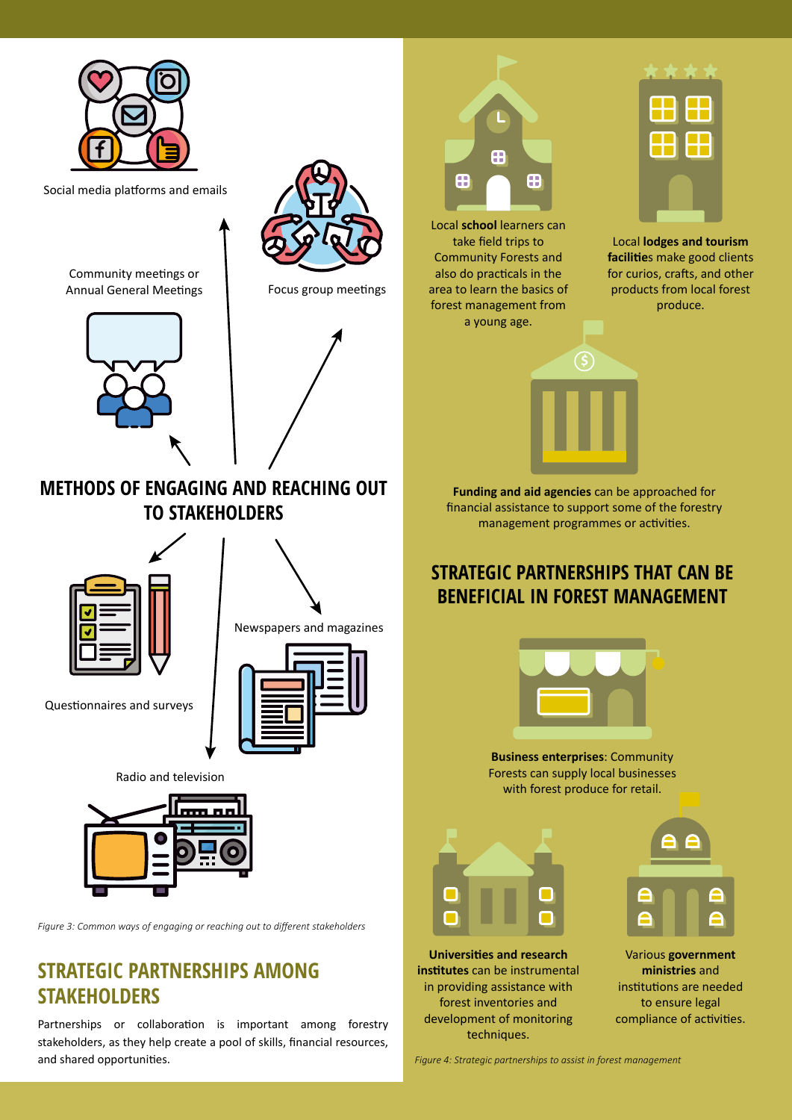

Partnerships or collaboration is important among forestry stakeholders, as they help create a pool of skills, financial resources, and shared opportunities.

*Figure 4: Strategic partnerships to assist in forest management*

techniques.